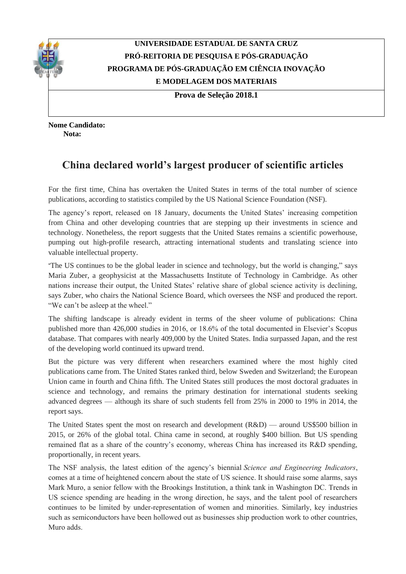

## **UNIVERSIDADE ESTADUAL DE SANTA CRUZ PRÓ-REITORIA DE PESQUISA E PÓS-GRADUAÇÃO PROGRAMA DE PÓS-GRADUAÇÃO EM CIÊNCIA INOVAÇÃO E MODELAGEM DOS MATERIAIS**

**Prova de Seleção 2018.1**

**Nome Candidato: Nota:**

## **China declared world's largest producer of scientific articles**

For the first time, China has overtaken the United States in terms of the total number of science publications, according to statistics compiled by the US National Science Foundation (NSF).

The agency's report, released on 18 January, documents the United States' increasing competition from China and other developing countries that are stepping up their investments in science and technology. Nonetheless, the report suggests that the United States remains a scientific powerhouse, pumping out high-profile research, attracting international students and translating science into valuable intellectual property.

"The US continues to be the global leader in science and technology, but the world is changing," says Maria Zuber, a geophysicist at the Massachusetts Institute of Technology in Cambridge. As other nations increase their output, the United States' relative share of global science activity is declining, says Zuber, who chairs the National Science Board, which oversees the NSF and produced the report. "We can't be asleep at the wheel."

The shifting landscape is already evident in terms of the sheer volume of publications: China published more than 426,000 studies in 2016, or 18.6% of the total documented in Elsevier's Scopus database. That compares with nearly 409,000 by the United States. India surpassed Japan, and the rest of the developing world continued its upward trend.

But the picture was very different when researchers examined where the most highly cited publications came from. The United States ranked third, below Sweden and Switzerland; the European Union came in fourth and China fifth. The United States still produces the most doctoral graduates in science and technology, and remains the primary destination for international students seeking advanced degrees — although its share of such students fell from 25% in 2000 to 19% in 2014, the report says.

The United States spent the most on research and development (R&D) — around US\$500 billion in 2015, or 26% of the global total. China came in second, at roughly \$400 billion. But US spending remained flat as a share of the country's economy, whereas China has increased its R&D spending, proportionally, in recent years.

The NSF analysis, the latest edition of the agency's biennial *Science and Engineering Indicators*, comes at a time of heightened concern about the state of US science. It should raise some alarms, says Mark Muro, a senior fellow with the Brookings Institution, a think tank in Washington DC. Trends in US science spending are heading in the wrong direction, he says, and the talent pool of researchers continues to be limited by under-representation of women and minorities. Similarly, key industries such as semiconductors have been hollowed out as businesses ship production work to other countries, Muro adds.